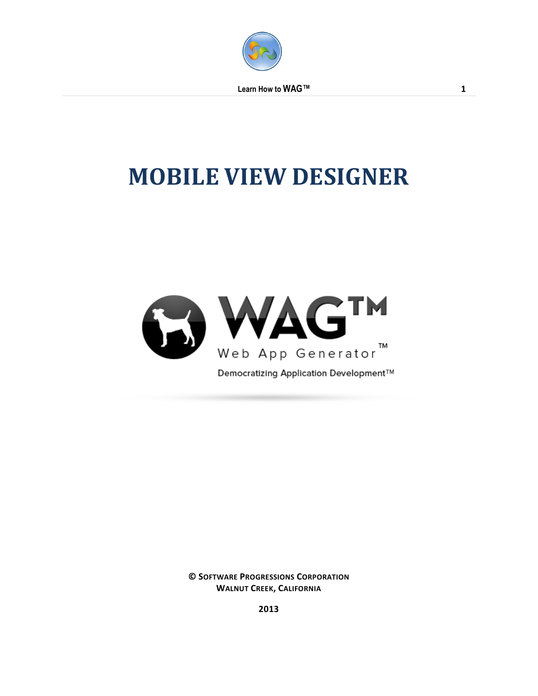

 **Learn How to WAG™ 1**

# **MOBILE VIEW DESIGNER**



**© SOFTWARE PROGRESSIONS CORPORATION WALNUT CREEK, CALIFORNIA**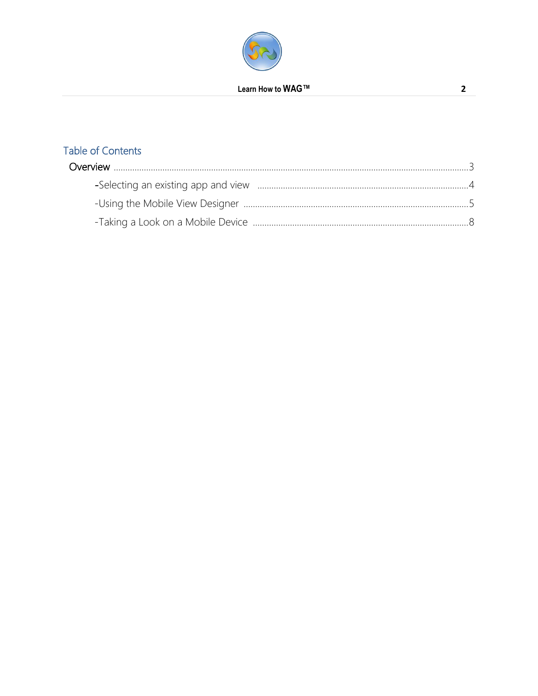

## **Table of Contents**

 $\overline{2}$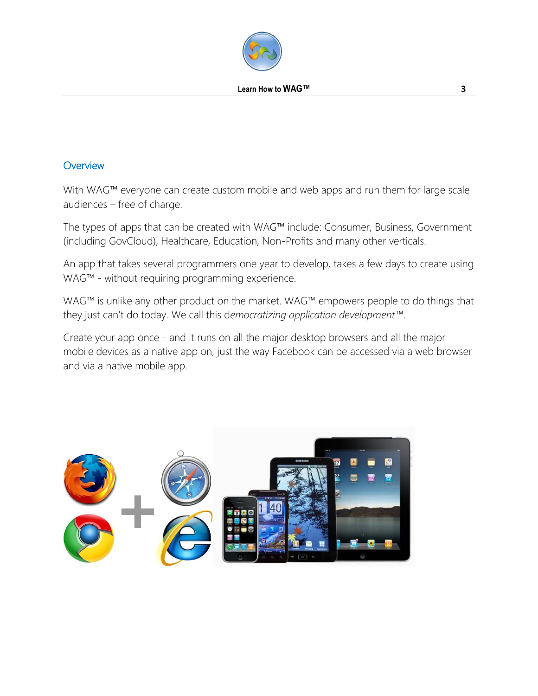

#### **Overview**

With WAG™ everyone can create custom mobile and web apps and run them for large scale audiences – free of charge.

The types of apps that can be created with WAG™ include: Consumer, Business, Government (including GovCloud), Healthcare, Education, Non-Profits and many other verticals.

An app that takes several programmers one year to develop, takes a few days to create using WAG™ - without requiring programming experience.

WAG™ is unlike any other product on the market. WAG™ empowers people to do things that they just can't do today. We call this d*emocratizing application development™*.

Create your app once - and it runs on all the major desktop browsers and all the major mobile devices as a native app on, just the way Facebook can be accessed via a web browser and via a native mobile app.

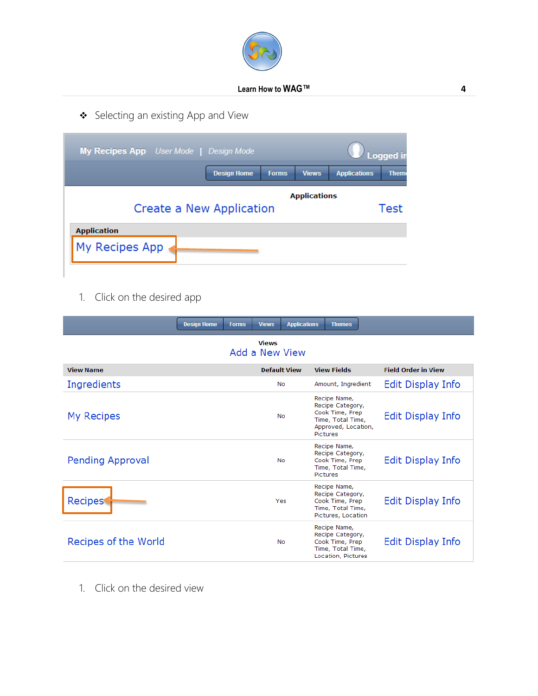

Selecting an existing App and View

| My Recipes App User Mode   Design Mode          |                    |              |              |                     | <b>Logged</b> in |
|-------------------------------------------------|--------------------|--------------|--------------|---------------------|------------------|
|                                                 | <b>Design Home</b> | <b>Forms</b> | <b>Views</b> | <b>Applications</b> | <b>Them</b>      |
| <b>Applications</b><br>Create a New Application |                    |              | Test         |                     |                  |
| <b>Application</b><br>My Recipes App            |                    |              |              |                     |                  |

1. Click on the desired app

|                                | <b>Design Home</b><br><b>Forms</b> | <b>Views</b><br><b>Applications</b> | <b>Themes</b>                                                                                                      |                            |  |
|--------------------------------|------------------------------------|-------------------------------------|--------------------------------------------------------------------------------------------------------------------|----------------------------|--|
| <b>Views</b><br>Add a New View |                                    |                                     |                                                                                                                    |                            |  |
| <b>View Name</b>               |                                    | <b>Default View</b>                 | <b>View Fields</b>                                                                                                 | <b>Field Order in View</b> |  |
| Ingredients                    |                                    | <b>No</b>                           | Amount, Ingredient                                                                                                 | Edit Display Info          |  |
| My Recipes                     |                                    | <b>No</b>                           | Recipe Name,<br>Recipe Category,<br>Cook Time, Prep<br>Time, Total Time,<br>Approved, Location,<br><b>Pictures</b> | Edit Display Info          |  |
| Pending Approval               |                                    | <b>No</b>                           | Recipe Name,<br>Recipe Category,<br>Cook Time, Prep<br>Time, Total Time,<br>Pictures                               | Edit Display Info          |  |
| Recipes                        |                                    | Yes                                 | Recipe Name,<br>Recipe Category,<br>Cook Time, Prep<br>Time, Total Time,<br>Pictures, Location                     | Edit Display Info          |  |
| Recipes of the World           |                                    | <b>No</b>                           | Recipe Name,<br>Recipe Category,<br>Cook Time, Prep<br>Time, Total Time,<br>Location, Pictures                     | <b>Edit Display Info</b>   |  |

1. Click on the desired view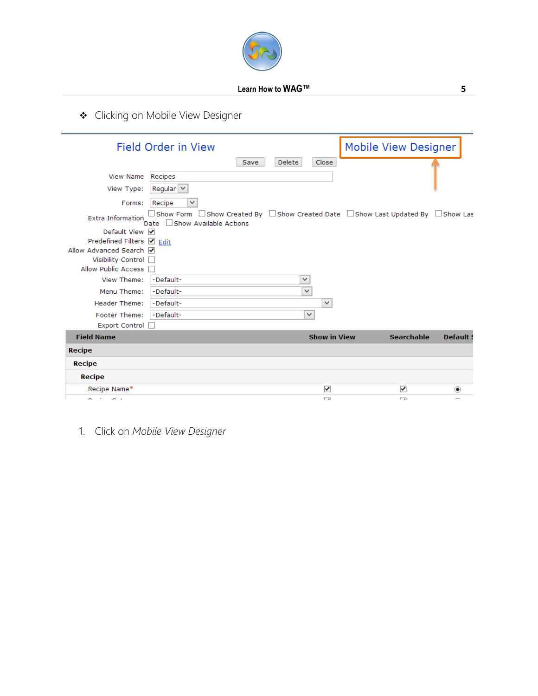

◆ Clicking on Mobile View Designer

|                            | <b>Field Order in View</b>                                                                                                                          |      |               |                     | Mobile View Designer     |                                   |
|----------------------------|-----------------------------------------------------------------------------------------------------------------------------------------------------|------|---------------|---------------------|--------------------------|-----------------------------------|
|                            |                                                                                                                                                     | Save | <b>Delete</b> | Close               |                          |                                   |
| <b>View Name</b>           | Recipes                                                                                                                                             |      |               |                     |                          |                                   |
| View Type:                 | Regular $\vee$                                                                                                                                      |      |               |                     |                          |                                   |
| Forms:                     | Recipe<br>$\checkmark$                                                                                                                              |      |               |                     |                          |                                   |
| <b>Extra Information</b>   | $\Box$ Show Form $\;\Box$ Show Created By $\;\Box$ Show Created Date $\;\Box$ Show Last Updated By $\;\Box$ Show Las<br>Date Show Available Actions |      |               |                     |                          |                                   |
| Default View Ø             |                                                                                                                                                     |      |               |                     |                          |                                   |
| Predefined Filters Ø Edit  |                                                                                                                                                     |      |               |                     |                          |                                   |
| Allow Advanced Search √    |                                                                                                                                                     |      |               |                     |                          |                                   |
| Visibility Control         |                                                                                                                                                     |      |               |                     |                          |                                   |
| Allow Public Access $\Box$ |                                                                                                                                                     |      |               |                     |                          |                                   |
| View Theme:                | -Default-                                                                                                                                           |      | v             |                     |                          |                                   |
| Menu Theme:                | -Default-                                                                                                                                           |      | $\checkmark$  |                     |                          |                                   |
| Header Theme:              | -Default-                                                                                                                                           |      |               | $\checkmark$        |                          |                                   |
| Footer Theme:              | -Default-                                                                                                                                           |      | $\checkmark$  |                     |                          |                                   |
| Export Control             |                                                                                                                                                     |      |               |                     |                          |                                   |
| <b>Field Name</b>          |                                                                                                                                                     |      |               | <b>Show in View</b> | <b>Searchable</b>        | <b>Default:</b>                   |
| <b>Recipe</b>              |                                                                                                                                                     |      |               |                     |                          |                                   |
| <b>Recipe</b>              |                                                                                                                                                     |      |               |                     |                          |                                   |
| <b>Recipe</b>              |                                                                                                                                                     |      |               |                     |                          |                                   |
| Recipe Name*               |                                                                                                                                                     |      |               | ✓                   | ✔                        | $\left( \widehat{\bullet}\right)$ |
| e in<br>and the            |                                                                                                                                                     |      |               | $\overline{a}$      | $\overline{\phantom{a}}$ |                                   |

1. Click on *Mobile View Designer*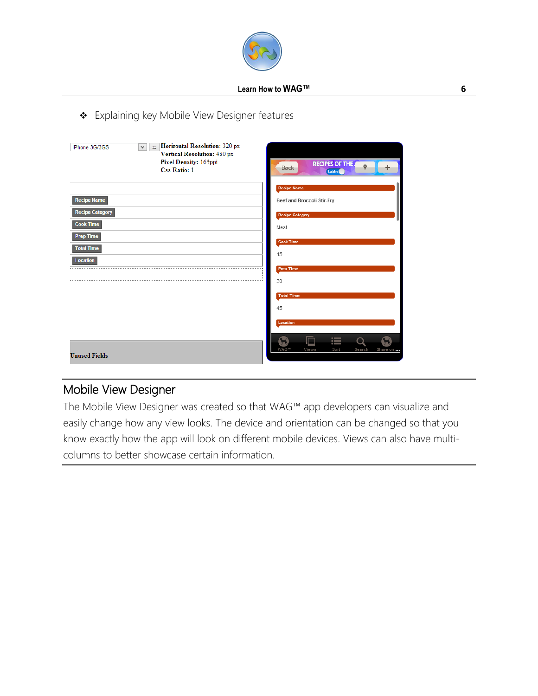

### \* Explaining key Mobile View Designer features

| <b>Horizontal Resolution: 320 px</b><br>iPhone 3G/3GS<br>$\checkmark$<br>$\equiv$<br>Vertical Resolution: 480 px<br>Pixel Density: 165ppi<br><b>Css Ratio: 1</b> | <b>RECIPES OF THE 4</b><br>Back<br>Lables                |
|------------------------------------------------------------------------------------------------------------------------------------------------------------------|----------------------------------------------------------|
|                                                                                                                                                                  | <b>Recipe Name</b>                                       |
| <b>Recipe Name</b>                                                                                                                                               | Beef and Broccoli Stir-Fry                               |
| <b>Recipe Category</b>                                                                                                                                           | <b>Recipe Category</b>                                   |
| <b>Cook Time</b>                                                                                                                                                 | Meat                                                     |
| <b>Prep Time</b>                                                                                                                                                 | <b>Cook Time</b>                                         |
| <b>Total Time</b>                                                                                                                                                | 15                                                       |
| <b>Location</b>                                                                                                                                                  |                                                          |
|                                                                                                                                                                  | <b>Prep Time</b>                                         |
|                                                                                                                                                                  | 30                                                       |
|                                                                                                                                                                  | <b>Total Time</b>                                        |
|                                                                                                                                                                  | 45                                                       |
|                                                                                                                                                                  | Location                                                 |
| <b>Unused Fields</b>                                                                                                                                             | 這<br><b>WAGTM</b><br>Views<br>Sort<br>Search<br>Share on |

## Mobile View Designer

The Mobile View Designer was created so that WAG™ app developers can visualize and easily change how any view looks. The device and orientation can be changed so that you know exactly how the app will look on different mobile devices. Views can also have multicolumns to better showcase certain information.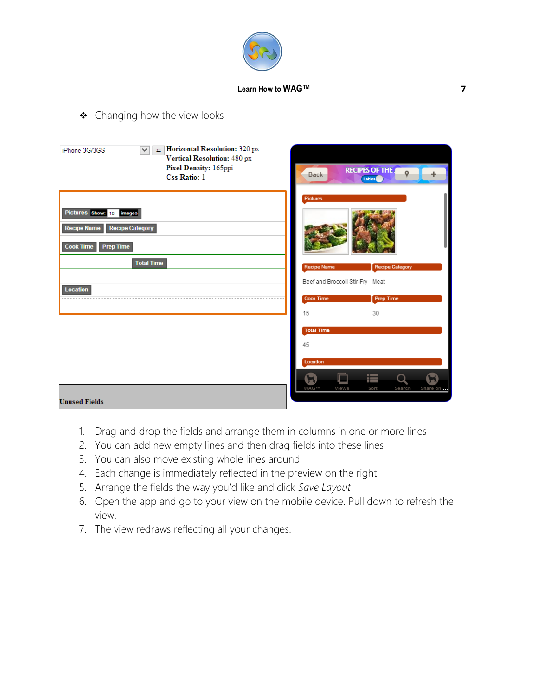

◆ Changing how the view looks

| Horizontal Resolution: 320 px<br>v.<br>iPhone 3G/3GS<br>$\pm$<br>Vertical Resolution: 480 px<br>Pixel Density: 165ppi<br><b>Css Ratio: 1</b>                       | <b>RECIPES OF THE 4</b><br>$\mathbf Q$<br><b>Back</b><br>Lables                             |
|--------------------------------------------------------------------------------------------------------------------------------------------------------------------|---------------------------------------------------------------------------------------------|
| Pictures Show: 10<br><i>images</i><br><b>Recipe Category</b><br><b>Recipe Name</b><br><b>Cook Time</b><br><b>Prep Time</b><br><b>Total Time</b><br><b>Location</b> | Pictures<br><b>Recipe Name</b><br><b>Recipe Category</b><br>Beef and Broccoli Stir-Fry Meat |
|                                                                                                                                                                    | <b>Cook Time</b><br>Prep Time<br>15<br>30                                                   |
|                                                                                                                                                                    | <b>Total Time</b><br>45<br>Location<br>這                                                    |
| <b>Unused Fields</b>                                                                                                                                               | <b>WAGTM</b><br>Share on<br>Views<br>Sort<br>Search                                         |

- 1. Drag and drop the fields and arrange them in columns in one or more lines
- 2. You can add new empty lines and then drag fields into these lines
- 3. You can also move existing whole lines around
- 4. Each change is immediately reflected in the preview on the right
- 5. Arrange the fields the way you'd like and click *Save Layout*
- 6. Open the app and go to your view on the mobile device. Pull down to refresh the view.
- 7. The view redraws reflecting all your changes.